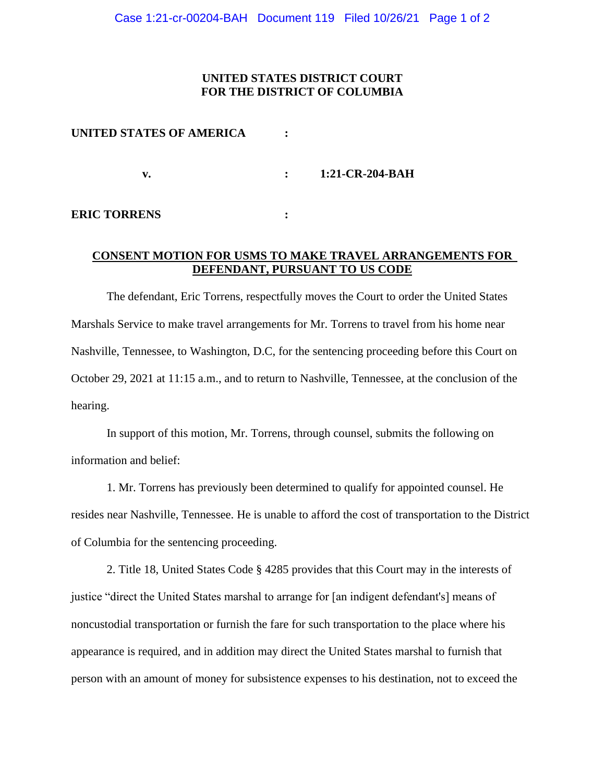### **UNITED STATES DISTRICT COURT FOR THE DISTRICT OF COLUMBIA**

| UNITED STATES OF AMERICA |              |                 |
|--------------------------|--------------|-----------------|
| v.                       | $\mathbf{L}$ | 1:21-CR-204-BAH |
| <b>ERIC TORRENS</b>      |              |                 |

# **CONSENT MOTION FOR USMS TO MAKE TRAVEL ARRANGEMENTS FOR DEFENDANT, PURSUANT TO US CODE**

The defendant, Eric Torrens, respectfully moves the Court to order the United States Marshals Service to make travel arrangements for Mr. Torrens to travel from his home near Nashville, Tennessee, to Washington, D.C, for the sentencing proceeding before this Court on October 29, 2021 at 11:15 a.m., and to return to Nashville, Tennessee, at the conclusion of the hearing.

In support of this motion, Mr. Torrens, through counsel, submits the following on information and belief:

1. Mr. Torrens has previously been determined to qualify for appointed counsel. He resides near Nashville, Tennessee. He is unable to afford the cost of transportation to the District of Columbia for the sentencing proceeding.

2. Title 18, United States Code § 4285 provides that this Court may in the interests of justice "direct the United States marshal to arrange for [an indigent defendant's] means of noncustodial transportation or furnish the fare for such transportation to the place where his appearance is required, and in addition may direct the United States marshal to furnish that person with an amount of money for subsistence expenses to his destination, not to exceed the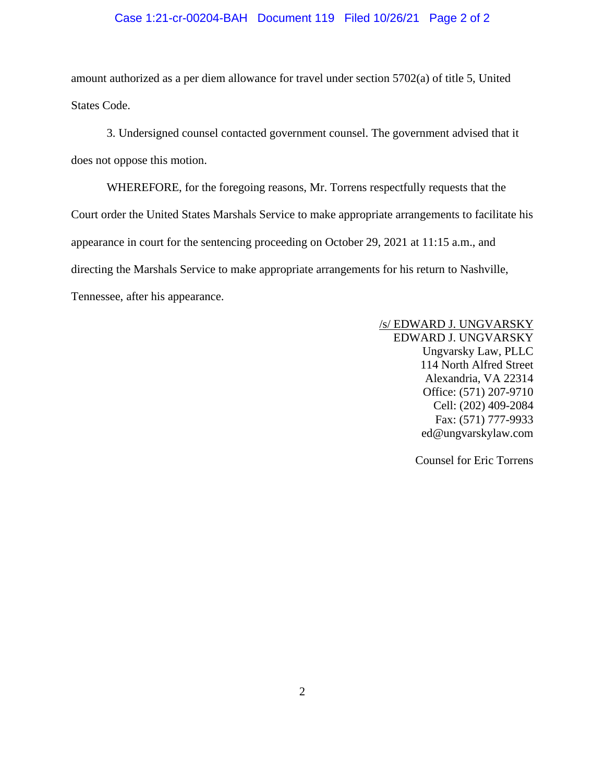#### Case 1:21-cr-00204-BAH Document 119 Filed 10/26/21 Page 2 of 2

amount authorized as a per diem allowance for travel under section 5702(a) of title 5, United States Code.

3. Undersigned counsel contacted government counsel. The government advised that it does not oppose this motion.

WHEREFORE, for the foregoing reasons, Mr. Torrens respectfully requests that the Court order the United States Marshals Service to make appropriate arrangements to facilitate his appearance in court for the sentencing proceeding on October 29, 2021 at 11:15 a.m., and directing the Marshals Service to make appropriate arrangements for his return to Nashville, Tennessee, after his appearance.

> /s/ EDWARD J. UNGVARSKY EDWARD J. UNGVARSKY Ungvarsky Law, PLLC 114 North Alfred Street Alexandria, VA 22314 Office: (571) 207-9710 Cell: (202) 409-2084 Fax: (571) 777-9933 ed@ungvarskylaw.com

> > Counsel for Eric Torrens